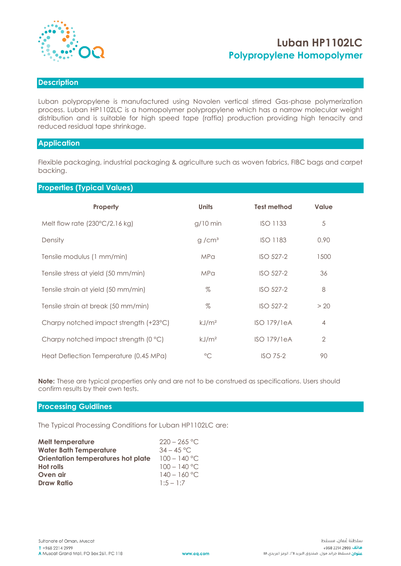

# **Luban HP1102LC Polypropylene Homopolymer**

### **Description**

Luban polypropylene is manufactured using Novolen vertical stirred Gas-phase polymerization process. Luban HP1102LC is a homopolymer polypropylene which has a narrow molecular weight distribution and is suitable for high speed tape (raffia) production providing high tenacity and reduced residual tape shrinkage.

## **Application**

Flexible packaging, industrial packaging & agriculture such as woven fabrics, FIBC bags and carpet backing.

**Properties (Typical Values)**

| Property                                | <b>Units</b>      | <b>Test method</b> | <b>Value</b>   |  |
|-----------------------------------------|-------------------|--------------------|----------------|--|
| Melt flow rate $(230^{\circ}C/2.16$ kg) | $g/10$ min        | <b>ISO 1133</b>    | 5              |  |
| Density                                 | g/cm <sup>3</sup> | <b>ISO 1183</b>    | 0.90           |  |
| Tensile modulus (1 mm/min)              | <b>MPa</b>        | ISO 527-2          | 1500           |  |
| Tensile stress at yield (50 mm/min)     | <b>MPa</b>        | ISO 527-2          | 36             |  |
| Tensile strain at yield (50 mm/min)     | $\%$              | ISO 527-2          | 8              |  |
| Tensile strain at break (50 mm/min)     | $\%$              | ISO 527-2          | > 20           |  |
| Charpy notched impact strength (+23°C)  | kJ/m <sup>2</sup> | <b>ISO 179/1eA</b> | $\overline{4}$ |  |
| Charpy notched impact strength (0 °C)   | kJ/m <sup>2</sup> | $ISO$ 179/1eA      | $\overline{2}$ |  |
| Heat Deflection Temperature (0.45 MPa)  | $\rm ^{\circ}C$   | $ISO$ 75-2         | 90             |  |

**Note:** These are typical properties only and are not to be construed as specifications. Users should confirm results by their own tests.

## **Processing Guidlines**

The Typical Processing Conditions for Luban HP1102LC are:

| <b>Melt temperature</b>            | $220 - 265$ °C. |
|------------------------------------|-----------------|
| <b>Water Bath Temperature</b>      | $34 - 45$ °C.   |
| Orientation temperatures hot plate | $100 - 140$ °C  |
| <b>Hot rolls</b>                   | $100 - 140$ °C. |
| Oven air                           | $140 - 160$ °C  |
| <b>Draw Ratio</b>                  | $1:5 - 1:7$     |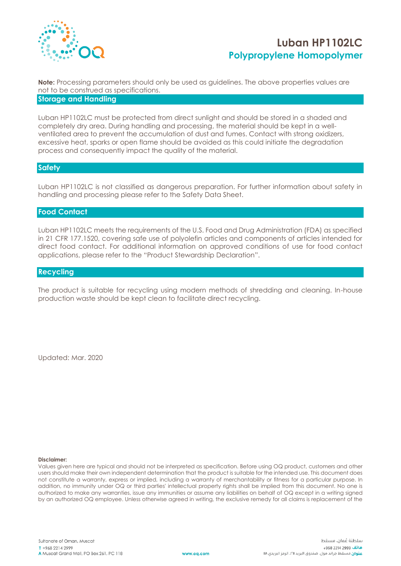

# **Luban HP1102LC Polypropylene Homopolymer**

**Note:** Processing parameters should only be used as guidelines. The above properties values are not to be construed as specifications. **Storage and Handling**

Luban HP1102LC must be protected from direct sunlight and should be stored in a shaded and completely dry area. During handling and processing, the material should be kept in a wellventilated area to prevent the accumulation of dust and fumes. Contact with strong oxidizers, excessive heat, sparks or open flame should be avoided as this could initiate the degradation process and consequently impact the quality of the material.

### **Safety**

Luban HP1102LC is not classified as dangerous preparation. For further information about safety in handling and processing please refer to the Safety Data Sheet.

#### **Food Contact**

Luban HP1102LC meets the requirements of the U.S. Food and Drug Administration (FDA) as specified in 21 CFR 177.1520, covering safe use of polyolefin articles and components of articles intended for direct food contact. For additional information on approved conditions of use for food contact applications, please refer to the "Product Stewardship Declaration".

### **Recycling**

The product is suitable for recycling using modern methods of shredding and cleaning. In-house production waste should be kept clean to facilitate direct recycling.

Updated: Mar. 2020

#### **Disclaimer:**

Values given here are typical and should not be interpreted as specification. Before using OQ product, customers and other users should make their own independent determination that the product is suitable for the intended use. This document does not constitute a warranty, express or implied, including a warranty of merchantability or fitness for a particular purpose. In addition, no immunity under OQ or third parties' intellectual property rights shall be implied from this document. No one is authorized to make any warranties, issue any immunities or assume any liabilities on behalf of OQ except in a writing signed by an authorized OQ employee. Unless otherwise agreed in writing, the exclusive remedy for all claims is replacement of the